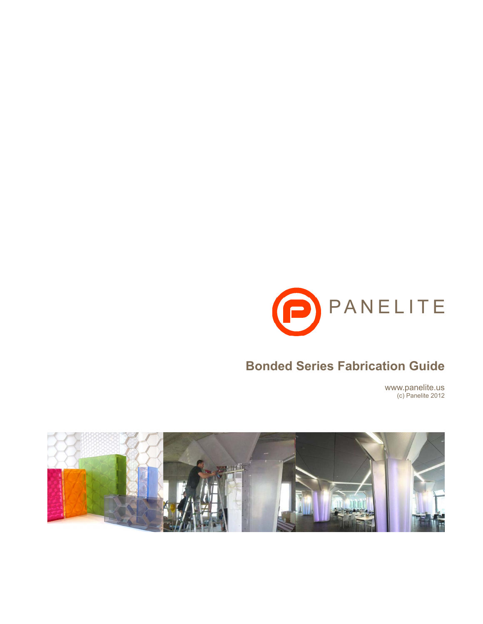

# **Bonded Series Fabrication Guide**

www.panelite.us (c) Panelite 2012

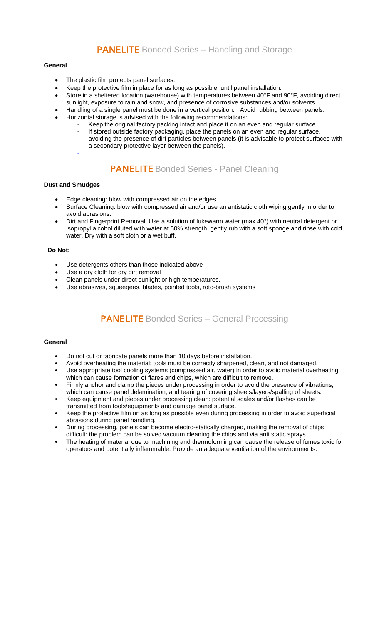### **PANELITE** Bonded Series – Handling and Storage

#### **General**

- The plastic film protects panel surfaces.
- Keep the protective film in place for as long as possible, until panel installation.
- Store in a sheltered location (warehouse) with temperatures between 40°F and 90°F, avoiding direct
- sunlight, exposure to rain and snow, and presence of corrosive substances and/or solvents.
- Handling of a single panel must be done in a vertical position. Avoid rubbing between panels.
- Horizontal storage is advised with the following recommendations:
	- Keep the original factory packing intact and place it on an even and regular surface. If stored outside factory packaging, place the panels on an even and regular surface, avoiding the presence of dirt particles between panels (it is advisable to protect surfaces with a secondary protective layer between the panels).
	- -

## **PANELITE** Bonded Series - Panel Cleaning

#### **Dust and Smudges**

- Edge cleaning: blow with compressed air on the edges.
- Surface Cleaning: blow with compressed air and/or use an antistatic cloth wiping gently in order to avoid abrasions.
- Dirt and Fingerprint Removal: Use a solution of lukewarm water (max 40°) with neutral detergent or isopropyl alcohol diluted with water at 50% strength, gently rub with a soft sponge and rinse with cold water. Dry with a soft cloth or a wet buff.

#### **Do Not:**

- Use detergents others than those indicated above
- Use a dry cloth for dry dirt removal
- Clean panels under direct sunlight or high temperatures.
- Use abrasives, squeegees, blades, pointed tools, roto-brush systems

## **PANELITE** Bonded Series – General Processing

#### **General**

- Do not cut or fabricate panels more than 10 days before installation.
- Avoid overheating the material: tools must be correctly sharpened, clean, and not damaged.
- Use appropriate tool cooling systems (compressed air, water) in order to avoid material overheating which can cause formation of flares and chips, which are difficult to remove.
- Firmly anchor and clamp the pieces under processing in order to avoid the presence of vibrations, which can cause panel delamination, and tearing of covering sheets/layers/spalling of sheets.
- Keep equipment and pieces under processing clean: potential scales and/or flashes can be transmitted from tools/equipments and damage panel surface.
- Keep the protective film on as long as possible even during processing in order to avoid superficial abrasions during panel handling.
- During processing, panels can become electro-statically charged, making the removal of chips difficult: the problem can be solved vacuum cleaning the chips and via anti static sprays.
- The heating of material due to machining and thermoforming can cause the release of fumes toxic for operators and potentially inflammable. Provide an adequate ventilation of the environments.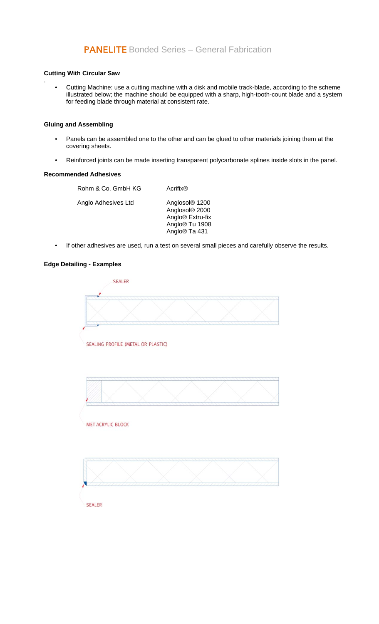### PANELITE Bonded Series – General Fabrication

#### **Cutting With Circular Saw**

.

• Cutting Machine: use a cutting machine with a disk and mobile track-blade, according to the scheme illustrated below; the machine should be equipped with a sharp, high-tooth-count blade and a system for feeding blade through material at consistent rate.

#### **Gluing and Assembling**

- Panels can be assembled one to the other and can be glued to other materials joining them at the covering sheets.
- Reinforced joints can be made inserting transparent polycarbonate splines inside slots in the panel.

#### **Recommended Adhesives**

| Rohm & Co. GmbH KG  | Acrifix <sup>®</sup>                                                                                                                    |
|---------------------|-----------------------------------------------------------------------------------------------------------------------------------------|
| Anglo Adhesives Ltd | Anglosol <sup>®</sup> 1200<br>Anglosol® 2000<br>Anglo <sup>®</sup> Extru-fix<br>Anglo <sup>®</sup> Tu 1908<br>Anglo <sup>®</sup> Ta 431 |

• If other adhesives are used, run a test on several small pieces and carefully observe the results.

#### **Edge Detailing - Examples**

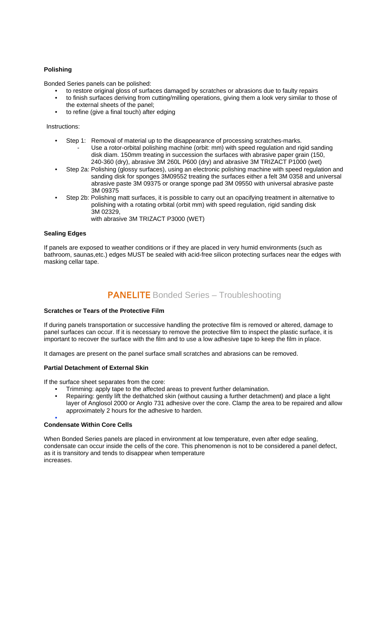#### **Polishing**

Bonded Series panels can be polished:

- to restore original gloss of surfaces damaged by scratches or abrasions due to faulty repairs
- to finish surfaces deriving from cutting/milling operations, giving them a look very similar to those of the external sheets of the panel;
- to refine (give a final touch) after edging

Instructions:

- Step 1: Removal of material up to the disappearance of processing scratches-marks. Use a rotor-orbital polishing machine (orbit: mm) with speed regulation and rigid sanding disk diam. 150mm treating in succession the surfaces with abrasive paper grain (150, 240-360 (dry), abrasive 3M 260L P600 (dry) and abrasive 3M TRIZACT P1000 (wet)
- Step 2a: Polishing (glossy surfaces), using an electronic polishing machine with speed regulation and sanding disk for sponges 3M09552 treating the surfaces either a felt 3M 0358 and universal abrasive paste 3M 09375 or orange sponge pad 3M 09550 with universal abrasive paste 3M 09375
- Step 2b: Polishing matt surfaces, it is possible to carry out an opacifying treatment in alternative to polishing with a rotating orbital (orbit mm) with speed regulation, rigid sanding disk 3M 02329,
	- with abrasive 3M TRIZACT P3000 (WET)

#### **Sealing Edges**

If panels are exposed to weather conditions or if they are placed in very humid environments (such as bathroom, saunas,etc.) edges MUST be sealed with acid-free silicon protecting surfaces near the edges with masking cellar tape.

## **PANELITE** Bonded Series – Troubleshooting

#### **Scratches or Tears of the Protective Film**

If during panels transportation or successive handling the protective film is removed or altered, damage to panel surfaces can occur. If it is necessary to remove the protective film to inspect the plastic surface, it is important to recover the surface with the film and to use a low adhesive tape to keep the film in place.

It damages are present on the panel surface small scratches and abrasions can be removed.

#### **Partial Detachment of External Skin**

If the surface sheet separates from the core:

- Trimming: apply tape to the affected areas to prevent further delamination.
- Repairing: gently lift the dethatched skin (without causing a further detachment) and place a light layer of Anglosol 2000 or Anglo 731 adhesive over the core. Clamp the area to be repaired and allow approximately 2 hours for the adhesive to harden.

#### **Condensate Within Core Cells**

•

When Bonded Series panels are placed in environment at low temperature, even after edge sealing, condensate can occur inside the cells of the core. This phenomenon is not to be considered a panel defect, as it is transitory and tends to disappear when temperature increases.